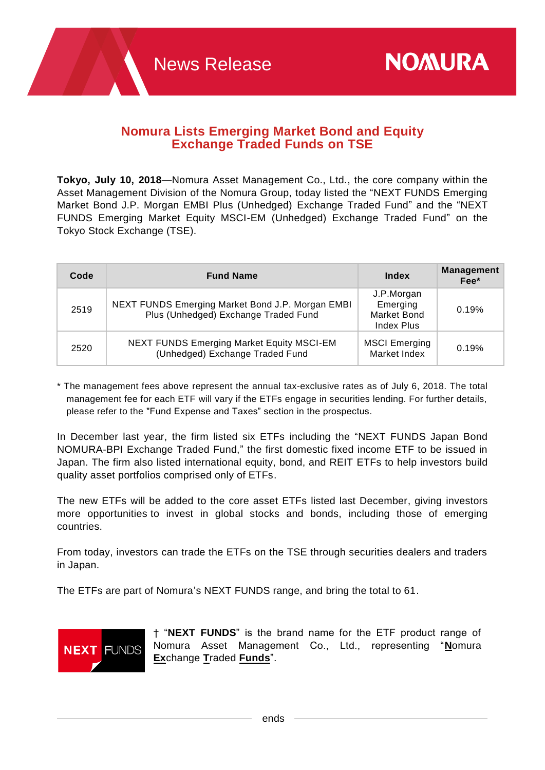## **Nomura Lists Emerging Market Bond and Equity Exchange Traded Funds on TSE**

**Tokyo, July 10, 2018**—Nomura Asset Management Co., Ltd., the core company within the Asset Management Division of the Nomura Group, today listed the "NEXT FUNDS Emerging Market Bond J.P. Morgan EMBI Plus (Unhedged) Exchange Traded Fund" and the "NEXT FUNDS Emerging Market Equity MSCI-EM (Unhedged) Exchange Traded Fund" on the Tokyo Stock Exchange (TSE).

| Code | <b>Fund Name</b>                                                                         | <b>Index</b>                                                      | <b>Management</b><br>Fee* |
|------|------------------------------------------------------------------------------------------|-------------------------------------------------------------------|---------------------------|
| 2519 | NEXT FUNDS Emerging Market Bond J.P. Morgan EMBI<br>Plus (Unhedged) Exchange Traded Fund | J.P.Morgan<br>Emerging<br><b>Market Bond</b><br><b>Index Plus</b> | 0.19%                     |
| 2520 | <b>NEXT FUNDS Emerging Market Equity MSCI-EM</b><br>(Unhedged) Exchange Traded Fund      | <b>MSCI Emerging</b><br>Market Index                              | 0.19%                     |

\* The management fees above represent the annual tax-exclusive rates as of July 6, 2018. The total management fee for each ETF will vary if the ETFs engage in securities lending. For further details, please refer to the "Fund Expense and Taxes" section in the prospectus.

In December last year, the firm listed six ETFs including the "NEXT FUNDS Japan Bond NOMURA-BPI Exchange Traded Fund," the first domestic fixed income ETF to be issued in Japan. The firm also listed international equity, bond, and REIT ETFs to help investors build quality asset portfolios comprised only of ETFs.

The new ETFs will be added to the core asset ETFs listed last December, giving investors more opportunities to invest in global stocks and bonds, including those of emerging countries.

From today, investors can trade the ETFs on the TSE through securities dealers and traders in Japan.

The ETFs are part of Nomura's NEXT FUNDS range, and bring the total to 61.



† "**NEXT FUNDS**" is the brand name for the ETF product range of Nomura Asset Management Co., Ltd., representing "**N**omura **Ex**change **T**raded **Funds**".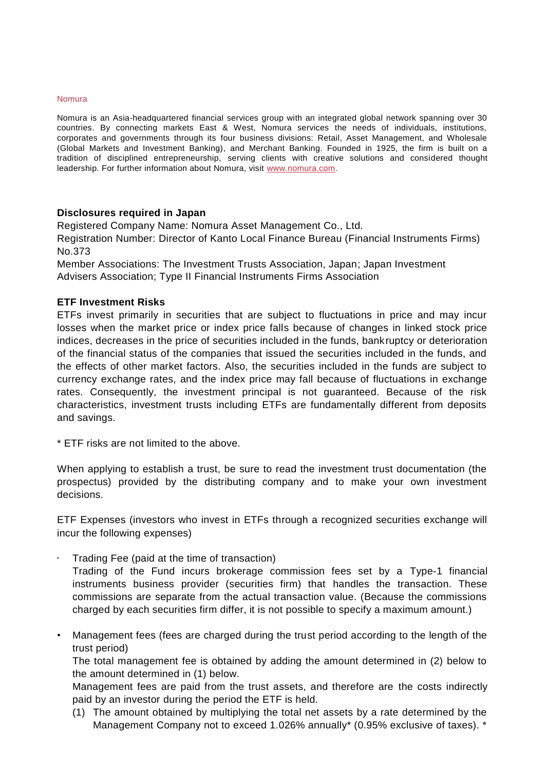## Nomura

Nomura is an Asia-headquartered financial services group with an integrated global network spanning over 30 countries. By connecting markets East & West, Nomura services the needs of individuals, institutions, corporates and governments through its four business divisions: Retail, Asset Management, and Wholesale (Global Markets and Investment Banking), and Merchant Banking. Founded in 1925, the firm is built on a tradition of disciplined entrepreneurship, serving clients with creative solutions and considered thought leadership. For further information about Nomura, visit [www.nomura.com.](http://www.nomura.com/)

## **Disclosures required in Japan**

Registered Company Name: Nomura Asset Management Co., Ltd.

Registration Number: Director of Kanto Local Finance Bureau (Financial Instruments Firms) No.373

Member Associations: The Investment Trusts Association, Japan; Japan Investment Advisers Association; Type II Financial Instruments Firms Association

## **ETF Investment Risks**

ETFs invest primarily in securities that are subject to fluctuations in price and may incur losses when the market price or index price falls because of changes in linked stock price indices, decreases in the price of securities included in the funds, bankruptcy or deterioration of the financial status of the companies that issued the securities included in the funds, and the effects of other market factors. Also, the securities included in the funds are subject to currency exchange rates, and the index price may fall because of fluctuations in exchange rates. Consequently, the investment principal is not guaranteed. Because of the risk characteristics, investment trusts including ETFs are fundamentally different from deposits and savings.

\* ETF risks are not limited to the above.

When applying to establish a trust, be sure to read the investment trust documentation (the prospectus) provided by the distributing company and to make your own investment decisions.

ETF Expenses (investors who invest in ETFs through a recognized securities exchange will incur the following expenses)

• Trading Fee (paid at the time of transaction)

Trading of the Fund incurs brokerage commission fees set by a Type-1 financial instruments business provider (securities firm) that handles the transaction. These commissions are separate from the actual transaction value. (Because the commissions charged by each securities firm differ, it is not possible to specify a maximum amount.)

• Management fees (fees are charged during the trust period according to the length of the trust period)

The total management fee is obtained by adding the amount determined in (2) below to the amount determined in (1) below.

Management fees are paid from the trust assets, and therefore are the costs indirectly paid by an investor during the period the ETF is held.

(1) The amount obtained by multiplying the total net assets by a rate determined by the Management Company not to exceed 1.026% annually\* (0.95% exclusive of taxes). \*